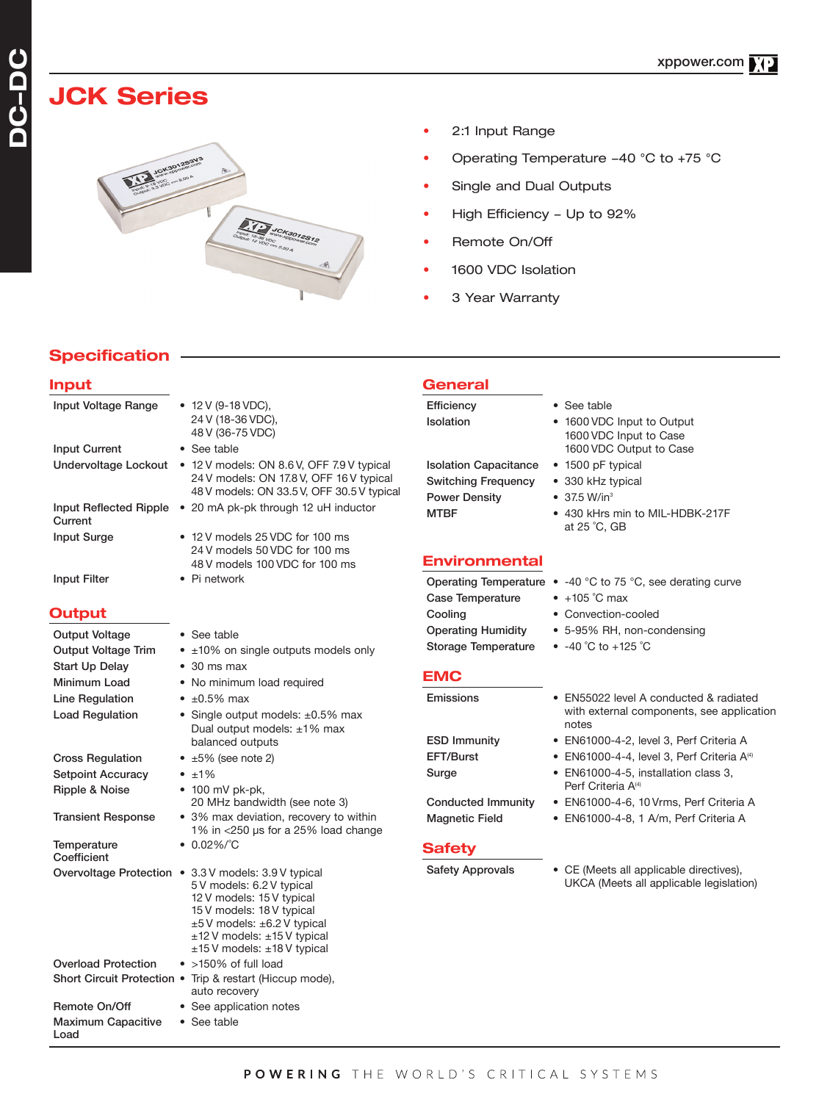# **JCK Series**



- 2:1 Input Range
- Operating Temperature -40 °C to +75 °C
- Single and Dual Outputs
- High Efficiency Up to 92%
- Remote On/Off
- 1600 VDC Isolation
- 3 Year Warranty

## **Specification**

Load

| Input                      |                                                                                                                                                                                                                                                    | General                                                                            |                                                                                                      |
|----------------------------|----------------------------------------------------------------------------------------------------------------------------------------------------------------------------------------------------------------------------------------------------|------------------------------------------------------------------------------------|------------------------------------------------------------------------------------------------------|
| Input Voltage Range        | • $12 \text{ V}$ (9-18 VDC),<br>24 V (18-36 VDC),<br>48 V (36-75 VDC)                                                                                                                                                                              | Efficiency<br>Isolation                                                            | • See table<br>• 1600 VDC Input to Output<br>1600 VDC Input to Case                                  |
| <b>Input Current</b>       | • See table                                                                                                                                                                                                                                        |                                                                                    | 1600 VDC Output to Case                                                                              |
|                            | Undervoltage Lockout • 12 V models: ON 8.6 V, OFF 7.9 V typical<br>24 V models: ON 17.8 V, OFF 16 V typical<br>48 V models: ON 33.5 V, OFF 30.5 V typical                                                                                          | <b>Isolation Capacitance</b><br><b>Switching Frequency</b><br><b>Power Density</b> | • 1500 pF typical<br>• 330 kHz typical<br>$\bullet$ 37.5 W/in <sup>3</sup>                           |
| Current                    | Input Reflected Ripple • 20 mA pk-pk through 12 uH inductor                                                                                                                                                                                        | <b>MTBF</b>                                                                        | • 430 kHrs min to MIL-HDBK-217F<br>at 25 °C, GB                                                      |
| <b>Input Surge</b>         | • 12 V models 25 VDC for 100 ms<br>24 V models 50 VDC for 100 ms                                                                                                                                                                                   | <b>Environmental</b>                                                               |                                                                                                      |
|                            | 48 V models 100 VDC for 100 ms                                                                                                                                                                                                                     |                                                                                    |                                                                                                      |
| Input Filter               | $\bullet$ Pi network                                                                                                                                                                                                                               | <b>Case Temperature</b>                                                            | Operating Temperature $\bullet$ -40 °C to 75 °C, see derating curve<br>$\bullet$ +105 $^\circ$ C max |
| Output                     |                                                                                                                                                                                                                                                    | Cooling                                                                            | • Convection-cooled                                                                                  |
| Output Voltage             | • See table                                                                                                                                                                                                                                        | <b>Operating Humidity</b>                                                          | • 5-95% RH, non-condensing                                                                           |
| <b>Output Voltage Trim</b> | • ±10% on single outputs models only                                                                                                                                                                                                               | <b>Storage Temperature</b>                                                         | • $-40$ °C to $+125$ °C                                                                              |
| Start Up Delay             | $\bullet$ 30 ms max                                                                                                                                                                                                                                |                                                                                    |                                                                                                      |
| Minimum Load               | • No minimum load required                                                                                                                                                                                                                         | <b>EMC</b>                                                                         |                                                                                                      |
| Line Regulation            | $\bullet$ ±0.5% max                                                                                                                                                                                                                                | Emissions                                                                          | • EN55022 level A conducted & radiated<br>with external components, see application                  |
| <b>Load Regulation</b>     | • Single output models: $\pm 0.5\%$ max<br>Dual output models: ±1% max                                                                                                                                                                             |                                                                                    | notes                                                                                                |
|                            | balanced outputs                                                                                                                                                                                                                                   | <b>ESD Immunity</b>                                                                | • EN61000-4-2, level 3, Perf Criteria A                                                              |
| <b>Cross Regulation</b>    | $\bullet$ ±5% (see note 2)                                                                                                                                                                                                                         | EFT/Burst                                                                          | • EN61000-4-4, level 3, Perf Criteria $A^{(4)}$                                                      |
| <b>Setpoint Accuracy</b>   | $\bullet$ $\pm$ 1%                                                                                                                                                                                                                                 | Surge                                                                              | • EN61000-4-5, installation class 3,                                                                 |
| Ripple & Noise             | $\bullet$ 100 mV pk-pk,<br>20 MHz bandwidth (see note 3)                                                                                                                                                                                           | <b>Conducted Immunity</b>                                                          | Perf Criteria A <sup>(4)</sup><br>• EN61000-4-6, 10 Vrms, Perf Criteria A                            |
| Transient Response         | • 3% max deviation, recovery to within<br>1% in $<$ 250 µs for a 25% load change                                                                                                                                                                   | <b>Magnetic Field</b>                                                              | • EN61000-4-8, 1 A/m, Perf Criteria A                                                                |
| Temperature<br>Coefficient | $\bullet$ 0.02%/°C                                                                                                                                                                                                                                 | <b>Safety</b>                                                                      |                                                                                                      |
|                            | Overvoltage Protection • 3.3 V models: 3.9 V typical<br>5 V models: 6.2 V typical<br>12 V models: 15 V typical<br>15 V models: 18 V typical<br>$±5V$ models: $±6.2V$ typical<br>$±12$ V models: $±15$ V typical<br>$±15$ V models: $±18$ V typical | <b>Safety Approvals</b>                                                            | • CE (Meets all applicable directives),<br>UKCA (Meets all applicable legislation)                   |
| <b>Overload Protection</b> | $\bullet$ >150% of full load                                                                                                                                                                                                                       |                                                                                    |                                                                                                      |
|                            | Short Circuit Protection • Trip & restart (Hiccup mode),<br>auto recovery                                                                                                                                                                          |                                                                                    |                                                                                                      |
| Remote On/Off              | • See application notes                                                                                                                                                                                                                            |                                                                                    |                                                                                                      |
| Maximum Capacitive         | • See table                                                                                                                                                                                                                                        |                                                                                    |                                                                                                      |